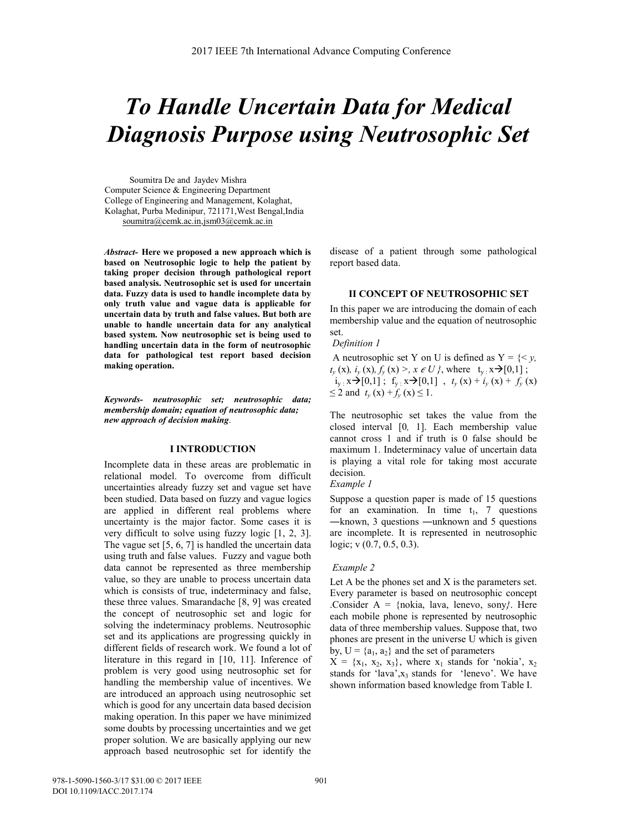# *To Handle Uncertain Data for Medical Diagnosis Purpose using Neutrosophic Set*

 Soumitra De and Jaydev Mishra Computer Science & Engineering Department College of Engineering and Management, Kolaghat, Kolaghat, Purba Medinipur, 721171,West Bengal,India soumitra@cemk.ac.in,jsm03@cemk.ac.in

*Abstract-* **Here we proposed a new approach which is based on Neutrosophic logic to help the patient by taking proper decision through pathological report based analysis. Neutrosophic set is used for uncertain data. Fuzzy data is used to handle incomplete data by only truth value and vague data is applicable for uncertain data by truth and false values. But both are unable to handle uncertain data for any analytical based system. Now neutrosophic set is being used to handling uncertain data in the form of neutrosophic data for pathological test report based decision making operation.**

*Keywords- neutrosophic set; neutrosophic data; membership domain; equation of neutrosophic data; new approach of decision making*.

## **I INTRODUCTION**

Incomplete data in these areas are problematic in relational model. To overcome from difficult uncertainties already fuzzy set and vague set have been studied. Data based on fuzzy and vague logics are applied in different real problems where uncertainty is the major factor. Some cases it is very difficult to solve using fuzzy logic [1, 2, 3]. The vague set [5, 6, 7] is handled the uncertain data using truth and false values. Fuzzy and vague both data cannot be represented as three membership value, so they are unable to process uncertain data which is consists of true, indeterminacy and false, these three values. Smarandache [8, 9] was created the concept of neutrosophic set and logic for solving the indeterminacy problems. Neutrosophic set and its applications are progressing quickly in different fields of research work. We found a lot of literature in this regard in [10, 11]. Inference of problem is very good using neutrosophic set for handling the membership value of incentives. We are introduced an approach using neutrosophic set which is good for any uncertain data based decision making operation. In this paper we have minimized some doubts by processing uncertainties and we get proper solution. We are basically applying our new approach based neutrosophic set for identify the disease of a patient through some pathological report based data.

# **II CONCEPT OF NEUTROSOPHIC SET**

In this paper we are introducing the domain of each membership value and the equation of neutrosophic set.

#### *Definition 1*

A neutrosophic set Y on U is defined as Y = {< *y,*  $t_{y}$  (x),  $i_{y}$  (x),  $f_{y}$  (x) >,  $x \in U$  }, where  $t_{y}$  :  $x \rightarrow [0,1]$ ;  $i_y$   $\mathbf{x} \rightarrow [0,1]$ ;  $\mathbf{f}_y$   $\mathbf{x} \rightarrow [0,1]$ ,  $t_y$   $\mathbf{x}$ ) +  $i_y$   $\mathbf{x}$ ) +  $f_y$   $\mathbf{x}$ )  $\leq$  2 and  $t_y$  (x) +  $f_y$  (x)  $\leq$  1.

The neutrosophic set takes the value from the closed interval [0*,* 1]. Each membership value cannot cross 1 and if truth is 0 false should be maximum 1. Indeterminacy value of uncertain data is playing a vital role for taking most accurate decision.

*Example 1* 

Suppose a question paper is made of 15 questions for an examination. In time  $t_1$ , 7 questions ―known, 3 questions ―unknown and 5 questions are incomplete. It is represented in neutrosophic logic; v (0.7, 0.5, 0.3).

#### *Example 2*

Let A be the phones set and  $X$  is the parameters set. Every parameter is based on neutrosophic concept .Consider A = {nokia, lava, lenevo, sony*}*. Here each mobile phone is represented by neutrosophic data of three membership values. Suppose that, two phones are present in the universe U which is given by,  $U = \{a_1, a_2\}$  and the set of parameters

 $X = \{x_1, x_2, x_3\}$ , where  $x_1$  stands for 'nokia',  $x_2$ stands for 'lava', $x_3$  stands for 'lenevo'. We have shown information based knowledge from Table I.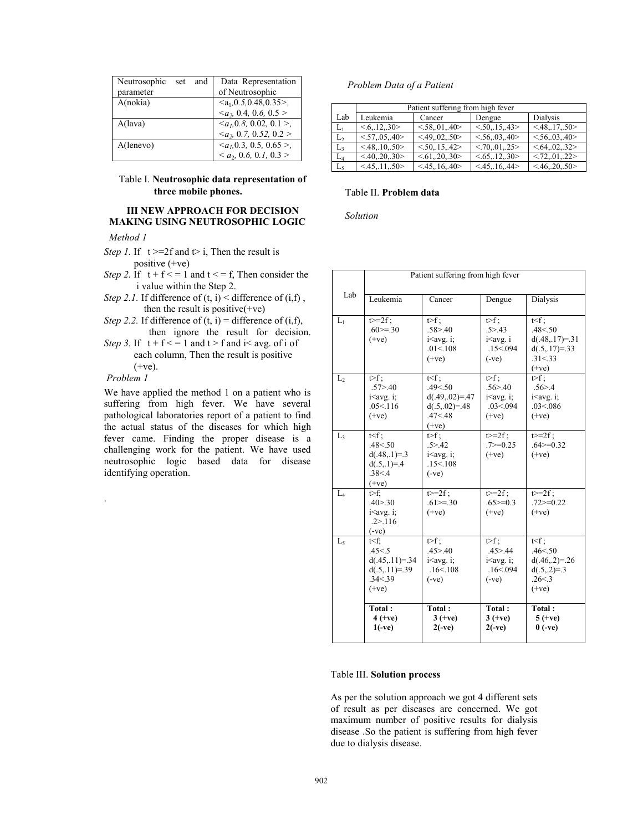| Neutrosophic<br>set and<br>parameter | Data Representation<br>of Neutrosophic |
|--------------------------------------|----------------------------------------|
| A(nokia)                             | $\leq a_1, 0.5, 0.48, 0.35$ .          |
|                                      | $\langle a_2, 0.4, 0.6, 0.5 \rangle$   |
| A(lava)                              | $\langle a_1, 0.8, 0.02, 0.1 \rangle$  |
|                                      | $\langle a_2, 0.7, 0.52, 0.2 \rangle$  |
| A(lenevo)                            | $\langle a_1, 0.3, 0.5, 0.65 \rangle$  |
|                                      | $<$ a <sub>2</sub> , 0.6, 0.1, 0.3 >   |

## Table I. **Neutrosophic data representation of three mobile phones.**

## **III NEW APPROACH FOR DECISION MAKING USING NEUTROSOPHIC LOGIC**

 *Method 1* 

- *Step 1.* If  $t \ge 2f$  and  $t \ge i$ , Then the result is positive (+ve)
- *Step 2.* If  $t + f \leq 1$  and  $t \leq f$ , Then consider the i value within the Step 2.
- *Step 2.1.* If difference of  $(t, i)$  < difference of  $(i,f)$ , then the result is positive $(+ve)$
- *Step 2.2.* If difference of  $(t, i)$  = difference of  $(i, f)$ , then ignore the result for decision.
- *Step 3.* If  $t + f \leq 1$  and  $t > f$  and  $i \leq avg$ , of i of each column, Then the result is positive  $(+ve)$ .

# *Problem 1*

.

We have applied the method 1 on a patient who is suffering from high fever. We have several pathological laboratories report of a patient to find the actual status of the diseases for which high fever came. Finding the proper disease is a challenging work for the patient. We have used neutrosophic logic based data for disease identifying operation.

## *Problem Data of a Patient*

|                | Patient suffering from high fever |              |               |                |  |  |
|----------------|-----------------------------------|--------------|---------------|----------------|--|--|
| Lab            | Leukemia                          | Cancer       | Dengue        | Dialysis       |  |  |
| $L_1$          | < 6, 12, 30                       | < 58, 01, 40 | < 50, 15, 43  | < 48.17.50     |  |  |
| L <sub>2</sub> | < 57, .05, .40                    | < 49,02,50   | < 56, 03, 40  | < 56, 03, 40   |  |  |
| L <sub>3</sub> | < 48, 10, 50                      | < 50, 15, 42 | < 70, 01, 25  | < 64, 02, 32>  |  |  |
| $L_4$          | < 40, 20, 30                      | < 61, 20, 30 | < 65, 12, 30> | < 72, .01, .22 |  |  |
| $L_5$          | < 45, 11, 50                      | < 45, 16, 40 | < 45, 16, 44> | < 46, 20, 50   |  |  |
|                |                                   |              |               |                |  |  |

## Table II. **Problem data**

*Solution* 

|                 | Patient suffering from high fever   |                                     |                                                                 |                          |  |  |
|-----------------|-------------------------------------|-------------------------------------|-----------------------------------------------------------------|--------------------------|--|--|
|                 |                                     |                                     |                                                                 |                          |  |  |
| Lab             |                                     |                                     |                                                                 |                          |  |  |
|                 | Leukemia                            | Cancer                              | Dengue                                                          | Dialysis                 |  |  |
| $L_1$           | $t>=2f$ ;                           | $trf$ :                             | $t > f$ ;                                                       | $t < f$ :                |  |  |
|                 | $.60>=.30$                          | .58 > .40                           | .5 > .43                                                        | .48 < 0.50               |  |  |
|                 | $(+ve)$                             | $i<$ avg. $i$ ;                     | i <avg. i<="" td=""><td><math>d(.48,.17)=.31</math></td></avg.> | $d(.48,.17)=.31$         |  |  |
|                 |                                     | .01< 108                            | .15 < 0.094                                                     | $d(.5,.17)=.33$          |  |  |
|                 |                                     | $(+ve)$                             | $(-ve)$                                                         | .31 < .33                |  |  |
|                 |                                     |                                     |                                                                 | $(+ve)$                  |  |  |
| $\mathcal{L}_2$ | $\triangleright f$ :                | $t < f$ ;                           | $t \geq f$ ;                                                    | $t > f$ :                |  |  |
|                 | .57 > .40                           | .49 < 50                            | .56 > 40                                                        | .56 > .4                 |  |  |
|                 | $i$ <avg. <math="">i;</avg.>        | $d(.49,.02)=.47$                    | $i$ savg. $i$ ;                                                 | $i$ savg. $i$ ;          |  |  |
|                 | .05< 116                            | $d(.5,.02)=.48$                     | .03 < 0.094                                                     | .03<0.086                |  |  |
|                 | $(+ve)$                             | .47 < .48                           | $(+ve)$                                                         | $(+ve)$                  |  |  |
| $L_3$           | $t < f$ :                           | $(+ve)$<br>$t>f$ :                  | $t>=2f$ :                                                       | $t>=2f$ :                |  |  |
|                 | .48 < 0.50                          | .5 > .42                            | $.7 \ge 0.25$                                                   | $.64 \ge 0.32$           |  |  |
|                 | $d(.48,.1)=3$                       | $i<$ avg. $i$ ;                     | $(+ve)$                                                         | $(+ve)$                  |  |  |
|                 | $d(.5,.1)=.4$                       | .15< 108                            |                                                                 |                          |  |  |
|                 | .38 < 4                             | $(-ve)$                             |                                                                 |                          |  |  |
|                 | $(+ve)$                             |                                     |                                                                 |                          |  |  |
| $L_4$           | t>f:                                | $t>=2f$ :                           | $t>=2f$ ;                                                       | $t>=2f$ :                |  |  |
|                 | .40 > .30                           | $.61 \ge 30$                        | $.65 \ge 0.3$                                                   | $.72 \ge 0.22$           |  |  |
|                 | $i$ <avg. <math="">i;</avg.>        | $(+ve)$                             | $(+ve)$                                                         | $(+ve)$                  |  |  |
|                 | .2 > 116                            |                                     |                                                                 |                          |  |  |
|                 | $(-ve)$                             |                                     |                                                                 |                          |  |  |
| $L_5$           | t≤f;                                | $trf$ :                             | $\overline{\triangleright}$ f;                                  | $t < f$ ;                |  |  |
|                 | .45 < 5                             | .45 > .40                           | .45 > .44                                                       | .46 < 50                 |  |  |
|                 | $d(.45,.11)=.34$<br>$d(.5,.11)=.39$ | i <avg. i;<br="">.16&lt; 108</avg.> | $i$ savg. $i$ ;<br>.16 < 0.094                                  | $d(.46,.2)=.26$          |  |  |
|                 | .34 < .39                           | $(-ve)$                             | $(-ve)$                                                         | $d(.5,.2)=3$<br>.26 < .3 |  |  |
|                 | $(+ve)$                             |                                     |                                                                 | $(+ve)$                  |  |  |
|                 |                                     |                                     |                                                                 |                          |  |  |
|                 | Total:                              | Total:                              | Total:                                                          | Total:                   |  |  |
|                 | $4 (+ve)$                           | $3 (+ve)$                           | $3 (+ve)$                                                       | $5 (+ve)$                |  |  |
|                 | $1(-ve)$                            | $2(-ve)$                            | $2(-ve)$                                                        | $0(-ve)$                 |  |  |
|                 |                                     |                                     |                                                                 |                          |  |  |

## Table III. **Solution process**

As per the solution approach we got 4 different sets of result as per diseases are concerned. We got maximum number of positive results for dialysis disease .So the patient is suffering from high fever due to dialysis disease.